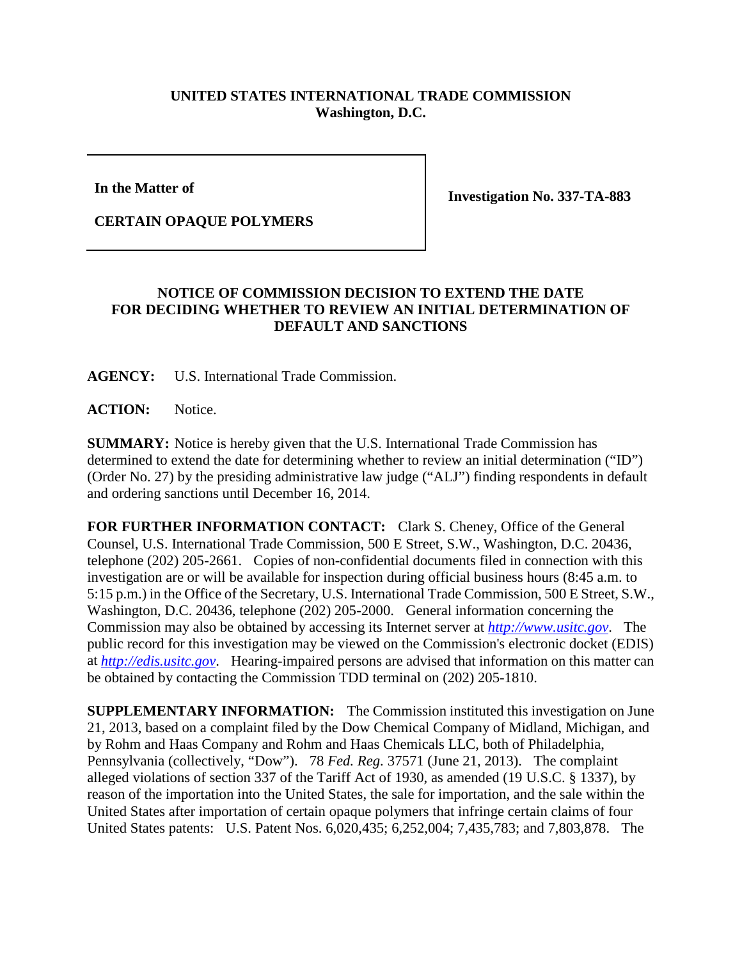## **UNITED STATES INTERNATIONAL TRADE COMMISSION Washington, D.C.**

**In the Matter of**

**Investigation No. 337-TA-883**

**CERTAIN OPAQUE POLYMERS**

## **NOTICE OF COMMISSION DECISION TO EXTEND THE DATE FOR DECIDING WHETHER TO REVIEW AN INITIAL DETERMINATION OF DEFAULT AND SANCTIONS**

**AGENCY:** U.S. International Trade Commission.

**ACTION:** Notice.

**SUMMARY:** Notice is hereby given that the U.S. International Trade Commission has determined to extend the date for determining whether to review an initial determination ("ID") (Order No. 27) by the presiding administrative law judge ("ALJ") finding respondents in default and ordering sanctions until December 16, 2014.

**FOR FURTHER INFORMATION CONTACT:** Clark S. Cheney, Office of the General Counsel, U.S. International Trade Commission, 500 E Street, S.W., Washington, D.C. 20436, telephone (202) 205-2661. Copies of non-confidential documents filed in connection with this investigation are or will be available for inspection during official business hours (8:45 a.m. to 5:15 p.m.) in the Office of the Secretary, U.S. International Trade Commission, 500 E Street, S.W., Washington, D.C. 20436, telephone (202) 205-2000. General information concerning the Commission may also be obtained by accessing its Internet server at *[http://www.usitc.gov](http://www.usitc.gov/)*. The public record for this investigation may be viewed on the Commission's electronic docket (EDIS) at *[http://edis.usitc.gov](http://edis.usitc.gov/)*. Hearing-impaired persons are advised that information on this matter can be obtained by contacting the Commission TDD terminal on (202) 205-1810.

**SUPPLEMENTARY INFORMATION:** The Commission instituted this investigation on June 21, 2013, based on a complaint filed by the Dow Chemical Company of Midland, Michigan, and by Rohm and Haas Company and Rohm and Haas Chemicals LLC, both of Philadelphia, Pennsylvania (collectively, "Dow"). 78 *Fed. Reg.* 37571 (June 21, 2013). The complaint alleged violations of section 337 of the Tariff Act of 1930, as amended (19 U.S.C. § 1337), by reason of the importation into the United States, the sale for importation, and the sale within the United States after importation of certain opaque polymers that infringe certain claims of four United States patents: U.S. Patent Nos. 6,020,435; 6,252,004; 7,435,783; and 7,803,878. The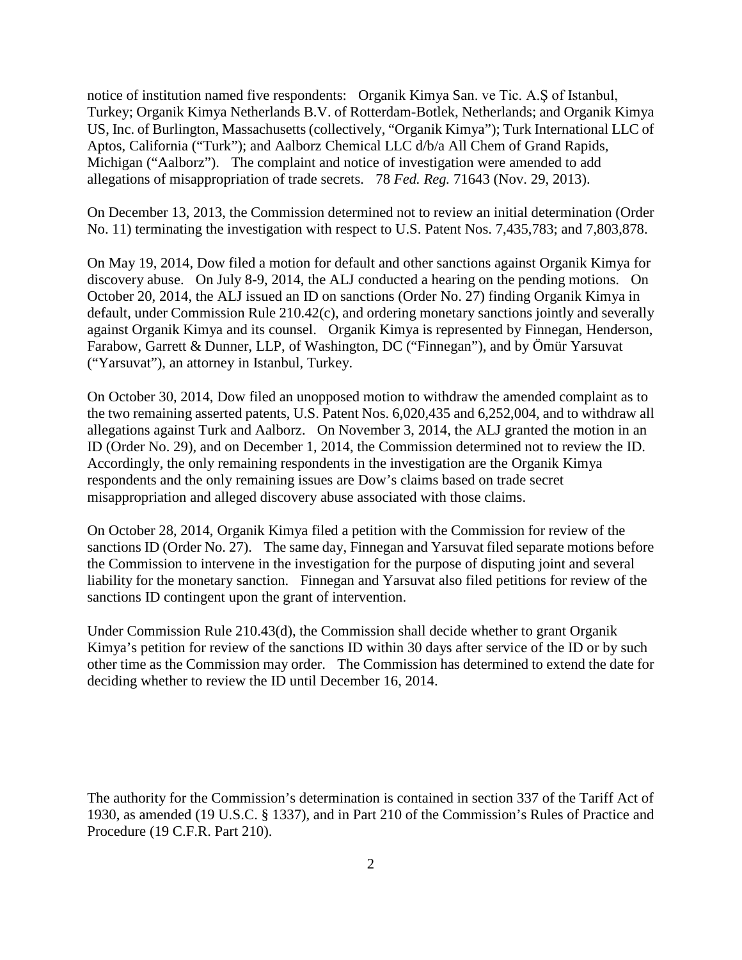notice of institution named five respondents: Organik Kimya San. ve Tic. A.Ş of Istanbul, Turkey; Organik Kimya Netherlands B.V. of Rotterdam-Botlek, Netherlands; and Organik Kimya US, Inc. of Burlington, Massachusetts (collectively, "Organik Kimya"); Turk International LLC of Aptos, California ("Turk"); and Aalborz Chemical LLC d/b/a All Chem of Grand Rapids, Michigan ("Aalborz"). The complaint and notice of investigation were amended to add allegations of misappropriation of trade secrets. 78 *Fed. Reg.* 71643 (Nov. 29, 2013).

On December 13, 2013, the Commission determined not to review an initial determination (Order No. 11) terminating the investigation with respect to U.S. Patent Nos. 7,435,783; and 7,803,878.

On May 19, 2014, Dow filed a motion for default and other sanctions against Organik Kimya for discovery abuse. On July 8-9, 2014, the ALJ conducted a hearing on the pending motions. On October 20, 2014, the ALJ issued an ID on sanctions (Order No. 27) finding Organik Kimya in default, under Commission Rule 210.42(c), and ordering monetary sanctions jointly and severally against Organik Kimya and its counsel. Organik Kimya is represented by Finnegan, Henderson, Farabow, Garrett & Dunner, LLP, of Washington, DC ("Finnegan"), and by Ömür Yarsuvat ("Yarsuvat"), an attorney in Istanbul, Turkey.

On October 30, 2014, Dow filed an unopposed motion to withdraw the amended complaint as to the two remaining asserted patents, U.S. Patent Nos. 6,020,435 and 6,252,004, and to withdraw all allegations against Turk and Aalborz. On November 3, 2014, the ALJ granted the motion in an ID (Order No. 29), and on December 1, 2014, the Commission determined not to review the ID. Accordingly, the only remaining respondents in the investigation are the Organik Kimya respondents and the only remaining issues are Dow's claims based on trade secret misappropriation and alleged discovery abuse associated with those claims.

On October 28, 2014, Organik Kimya filed a petition with the Commission for review of the sanctions ID (Order No. 27). The same day, Finnegan and Yarsuvat filed separate motions before the Commission to intervene in the investigation for the purpose of disputing joint and several liability for the monetary sanction. Finnegan and Yarsuvat also filed petitions for review of the sanctions ID contingent upon the grant of intervention.

Under Commission Rule 210.43(d), the Commission shall decide whether to grant Organik Kimya's petition for review of the sanctions ID within 30 days after service of the ID or by such other time as the Commission may order. The Commission has determined to extend the date for deciding whether to review the ID until December 16, 2014.

The authority for the Commission's determination is contained in section 337 of the Tariff Act of 1930, as amended (19 U.S.C. § 1337), and in Part 210 of the Commission's Rules of Practice and Procedure (19 C.F.R. Part 210).